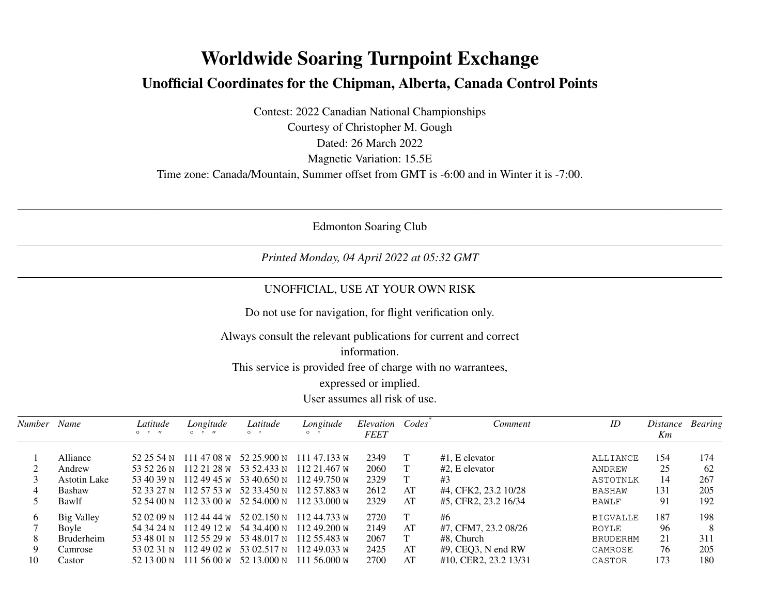## **Worldwide Soaring Turnpoint ExchangeUnofficial Coordinates for the Chipman, Alberta, Canada Control Points**

Contest: 2022 Canadian National ChampionshipsCourtesy of Christopher M. GoughDated: 26 March 2022 Magnetic Variation: 15.5ETime zone: Canada/Mountain, Summer offset from GMT is -6:00 and in Winter it is -7:00.

Edmonton Soaring Club

*Printed Monday, 04 April 2022 at 05:32 GMT*

## UNOFFICIAL, USE AT YOUR OWN RISK

Do not use for navigation, for flight verification only.

Always consult the relevant publications for current and correct

## information.

This service is provided free of charge with no warrantees,

expressed or implied.

User assumes all risk of use.

| Number   | Name                | Latitude<br>$\circ$ $\cdot$ $\prime\prime$ | Longitude<br>$\circ$ $\cdot$ $\cdot$ | Latitude<br>$\circ$ $\cdot$        | Longitude<br>$\circ$    | Elevation<br><b>FEET</b> | Codes | Comment               | ID              | Distance<br>Km | <b>Bearing</b> |
|----------|---------------------|--------------------------------------------|--------------------------------------|------------------------------------|-------------------------|--------------------------|-------|-----------------------|-----------------|----------------|----------------|
|          | Alliance            |                                            |                                      | 52 25 54 N 111 47 08 W 52 25.900 N | 111 47.133 W            | 2349                     |       | $#1$ . E elevator     | ALLIANCE        | 154            | 174            |
|          | Andrew              | 53 52 26 N                                 |                                      | $1122128 \text{ W}$ 53 52.433 N    | 112 21.467 W            | 2060                     |       | $#2$ . E elevator     | ANDREW          | 25             | 62             |
|          | <b>Astotin Lake</b> | 53 40 39 N                                 | 112 49 45 W                          | 53 40.650 N                        | 11249.750 w             | 2329                     |       | #3                    | ASTOTNLK        | 14             | 267            |
| 4        | <b>Bashaw</b>       | 52.33.27 N                                 | 112 57 53 W                          | 52 33.450 N                        | 112 57.883 W            | 2612                     | AT    | #4, CFK2, 23.2 10/28  | BASHAW          | 131            | 205            |
|          | Bawlf               | 52.54.00 N                                 | 112 33 00 W                          | 52 54.000 N                        | 112 33.000 W            | 2329                     | AT    | #5, CFR2, 23.2 16/34  | BAWLF           | 91             | 192            |
| $\sigma$ | <b>Big Valley</b>   |                                            |                                      | 52 02 09 N 112 44 44 W 52 02.150 N | 11244.733 W             | 2720                     |       | #6                    | <b>BIGVALLE</b> | 187            | 198            |
|          | Bovle               |                                            |                                      | 54 34 24 N 112 49 12 W 54 34.400 N | 112 49.200 <sub>W</sub> | 2149                     | AT    | #7, CFM7, 23.2 08/26  | <b>BOYLE</b>    | 96             | 8              |
| 8        | <b>Bruderheim</b>   | 53 48 01 N                                 |                                      | $112,55,29 \text{ W}$ 53 48.017 N  | 112 55.483 W            | 2067                     |       | #8. Church            | <b>BRUDERHM</b> | 21             | 311            |
| 9        | Camrose             | 53 02 31 N                                 | 112 49 02 W                          | 53 02.517 N                        | 11249.033 M             | 2425                     | AT    | $#9$ , CEQ3, N end RW | CAMROSE         | 76             | 205            |
| 10       | Castor              | 52.13.00 N                                 | $111\,5600\,\mathrm{W}$              | 52 13.000 N                        | 111 56,000 $\text{W}$   | 2700                     | AT    | #10, CER2, 23.2 13/31 | CASTOR          | 173            | 180            |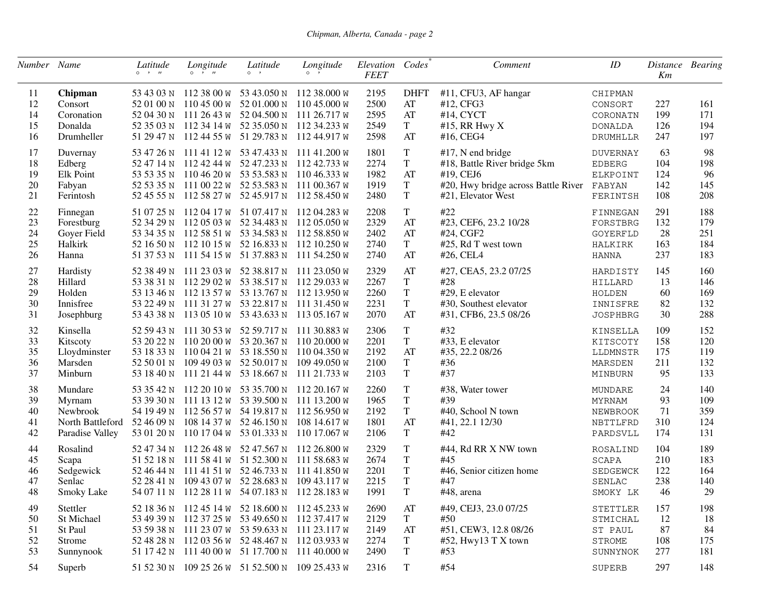| Number Name |                     | Latitude                    | Longitude                   | Latitude                                        | Longitude                                       | Elevation Codes |                        | Comment                             | ID                 | Distance Bearing |     |
|-------------|---------------------|-----------------------------|-----------------------------|-------------------------------------------------|-------------------------------------------------|-----------------|------------------------|-------------------------------------|--------------------|------------------|-----|
|             |                     | $\circ \quad \cdot \quad n$ | $\circ \quad \cdot \quad n$ | $\circ$ ,                                       | $\circ$ ,                                       | <b>FEET</b>     |                        |                                     |                    | Km               |     |
| 11          | Chipman             |                             |                             |                                                 | 53 43 03 N 112 38 00 W 53 43.050 N 112 38.000 W | 2195            | <b>DHFT</b>            | #11, CFU3, AF hangar                | CHIPMAN            |                  |     |
| 12          | Consort             |                             |                             |                                                 | 52 01 00 N 110 45 00 W 52 01.000 N 110 45.000 W | 2500            | $\mathbf{A}\mathbf{T}$ | #12, CFG3                           | CONSORT            | 227              | 161 |
| 14          | Coronation          |                             |                             |                                                 | 52 04 30 N 111 26 43 W 52 04.500 N 111 26.717 W | 2595            | AT                     | #14, CYCT                           | CORONATN           | 199              | 171 |
| 15          | Donalda             |                             |                             |                                                 | 52 35 03 N 112 34 14 W 52 35.050 N 112 34.233 W | 2549            | $\mathbf T$            | #15, RR Hwy $X$                     | <b>DONALDA</b>     | 126              | 194 |
| 16          | Drumheller          |                             |                             | 51 29 47 N 112 44 55 W 51 29.783 N              | 112 44.917 w                                    | 2598            | AT                     | #16, CEG4                           | DRUMHLLR           | 247              | 197 |
| 17          | Duvernay            |                             |                             | 53 47 26 N 111 41 12 W 53 47.433 N 111 41.200 W |                                                 | 1801            | T                      | $#17$ , N end bridge                | <b>DUVERNAY</b>    | 63               | 98  |
| 18          | Edberg              |                             |                             |                                                 | 52 47 14 N 112 42 44 W 52 47.233 N 112 42.733 W | 2274            | $\mathbf T$            | #18, Battle River bridge 5km        | <b>EDBERG</b>      | 104              | 198 |
| 19          | Elk Point           |                             |                             |                                                 | 53 53 35 N 110 46 20 W 53 53.583 N 110 46.333 W | 1982            | $\mathbf{A}\mathbf{T}$ | #19, CEJ6                           | ELKPOINT           | 124              | 96  |
| 20          | Fabyan              |                             |                             |                                                 | 52 53 35 N 111 00 22 W 52 53.583 N 111 00.367 W | 1919            | $\mathbf T$            | #20, Hwy bridge across Battle River | FABYAN             | 142              | 145 |
| 21          | Ferintosh           |                             |                             | 52 45 55 N 112 58 27 W 52 45.917 N              | 112 58.450 w                                    | 2480            | $\mathbf T$            | #21, Elevator West                  | FERINTSH           | 108              | 208 |
| $22\,$      | Finnegan            |                             |                             | 51 07 25 N 112 04 17 W 51 07.417 N 112 04.283 W |                                                 | 2208            | T                      | #22                                 | FINNEGAN           | 291              | 188 |
| 23          | Forestburg          |                             |                             | 52 34 29 N 112 05 03 W 52 34.483 N              | 112 05.050 w                                    | 2329            | $\mathbf{A}\mathbf{T}$ | #23, CEF6, 23.2 10/28               | FORSTBRG           | 132              | 179 |
| 24          | Goyer Field         |                             |                             |                                                 | 53 34 35 N 112 58 51 W 53 34.583 N 112 58.850 W | 2402            | AT                     | #24, CGF2                           | GOYERFLD           | 28               | 251 |
| 25          | Halkirk             |                             |                             |                                                 | 52 16 50 N 112 10 15 W 52 16.833 N 112 10.250 W | 2740            | $\mathbf T$            | #25, Rd T west town                 | HALKIRK            | 163              | 184 |
| 26          | Hanna               |                             |                             |                                                 | 51 37 53 N 111 54 15 W 51 37.883 N 111 54.250 W | 2740            | AT                     | #26, CEL4                           | HANNA              | 237              | 183 |
| 27          | Hardisty            |                             |                             | 52 38 49 N 111 23 03 W 52 38.817 N 111 23.050 W |                                                 | 2329            | AT                     | #27, CEA5, 23.2 07/25               | HARDISTY           | 145              | 160 |
| 28          | Hillard             |                             |                             |                                                 | 53 38 31 N 112 29 02 W 53 38.517 N 112 29.033 W | 2267            | $\mathbf T$            | #28                                 | HILLARD            | 13               | 146 |
| 29          | Holden              |                             |                             |                                                 | 53 13 46 N 112 13 57 W 53 13.767 N 112 13.950 W | 2260            | T                      | #29, E elevator                     | HOLDEN             | 60               | 169 |
| 30          | Innisfree           |                             |                             |                                                 | 53 22 49 N 111 31 27 W 53 22.817 N 111 31.450 W | 2231            | $\mathbf T$            | #30, Southest elevator              | INNISFRE           | 82               | 132 |
| 31          | Josephburg          |                             |                             |                                                 | 53 43 38 N 113 05 10 W 53 43.633 N 113 05.167 W | 2070            | AT                     | #31, CFB6, 23.5 08/26               | <b>JOSPHBRG</b>    | 30               | 288 |
| 32          | Kinsella            |                             |                             | 52 59 43 N 111 30 53 W 52 59.717 N              | 111 30.883 w                                    | 2306            | $\mathbf T$            | #32                                 | KINSELLA           | 109              | 152 |
| 33          | Kitscoty            |                             |                             |                                                 | 53 20 22 N 110 20 00 W 53 20.367 N 110 20.000 W | 2201            | $\mathbf T$            | #33, E elevator                     | KITSCOTY           | 158              | 120 |
| 35          | Lloydminster        |                             |                             |                                                 | 53 18 33 N 110 04 21 W 53 18.550 N 110 04.350 W | 2192            | AT                     | #35, 22.2 08/26                     | LLDMNSTR           | 175              | 119 |
| 36          | Marsden             | 52 50 01 N                  |                             | 109 49 03 W 52 50.017 N                         | 109 49.050 <sub>W</sub>                         | 2100            | T                      | #36                                 | MARSDEN            | 211              | 132 |
| 37          | Minburn             | 53 18 40 N                  |                             | 111 21 44 W 53 18.667 N                         | 111 21.733 W                                    | 2103            | $\mathbf T$            | #37                                 | MINBURN            | 95               | 133 |
| 38          | Mundare             | 53 35 42 N                  |                             | $112\ 20\ 10\ \text{W}$ 53 35.700 N             | 112 20.167 w                                    | 2260            | T                      | #38, Water tower                    | MUNDARE            | 24               | 140 |
| 39          | Myrnam              |                             |                             | 53 39 30 N 111 13 12 W 53 39.500 N              | 111 13.200 W                                    | 1965            | T                      | #39                                 | <b>MYRNAM</b>      | 93               | 109 |
| 40          | Newbrook            |                             |                             |                                                 | 54 19 49 N 112 56 57 W 54 19.817 N 112 56.950 W | 2192            | $\mathbf T$            | #40, School N town                  | NEWBROOK           | 71               | 359 |
| 41          | North Battleford    | 52 46 09 N                  |                             | 108 14 37 W 52 46.150 N                         | 108 14.617 w                                    | 1801            | AT                     | #41, 22.1 12/30                     | NBTTLFRD           | 310              | 124 |
| 42          | Paradise Valley     | 53 01 20 N                  |                             | 110 17 04 W 53 01.333 N                         | 110 17.067 w                                    | 2106            | T                      | #42                                 | PARDSVLL           | 174              | 131 |
| 44          | Rosalind            | 52 47 34 N                  |                             | 112 26 48 W 52 47.567 N                         | 112 26.800 w                                    | 2329            | T                      | #44, Rd RR X NW town                |                    | 104              | 189 |
| 45          |                     |                             |                             | 51 52 18 N 111 58 41 W 51 52.300 N              | 111 58.683 w                                    | 2674            | $\mathbf T$            | #45                                 | ROSALIND           | 210              | 183 |
| 46          | Scapa               |                             |                             |                                                 | 52 46 44 N 111 41 51 W 52 46.733 N 111 41.850 W | 2201            | T                      | #46, Senior citizen home            | SCAPA              | 122              | 164 |
| 47          | Sedgewick<br>Senlac |                             |                             |                                                 | 52 28 41 N 109 43 07 W 52 28.683 N 109 43.117 W | 2215            | $\mathbf T$            | #47                                 | SEDGEWCK<br>SENLAC | 238              | 140 |
| 48          | Smoky Lake          |                             |                             | 54 07 11 N 112 28 11 W 54 07.183 N              | 112 28.183 W                                    | 1991            | $\mathbf T$            | #48, arena                          | SMOKY LK           | 46               | 29  |
|             |                     |                             |                             |                                                 |                                                 |                 |                        |                                     |                    |                  |     |
| 49          | Stettler            |                             |                             |                                                 | 52 18 36 N 112 45 14 W 52 18.600 N 112 45.233 W | 2690            | AT                     | #49, CEJ3, 23.0 07/25               | STETTLER           | 157              | 198 |
| 50          | St Michael          |                             |                             |                                                 | 53 49 39 N 112 37 25 W 53 49.650 N 112 37.417 W | 2129            | T                      | #50                                 | STMICHAL           | 12               | 18  |
| 51          | St Paul             |                             |                             |                                                 | 53 59 38 N 111 23 07 W 53 59.633 N 111 23.117 W | 2149            | AT                     | #51, CEW3, 12.8 08/26               | ST PAUL            | 87               | 84  |
| 52          | Strome              |                             |                             |                                                 | 52 48 28 N 112 03 56 W 52 48.467 N 112 03.933 W | 2274            | T                      | #52, Hwy13 T $X$ town               | STROME             | 108              | 175 |
| 53          | Sunnynook           |                             |                             |                                                 | 51 17 42 N 111 40 00 W 51 17.700 N 111 40.000 W | 2490            | T                      | #53                                 | SUNNYNOK           | 277              | 181 |
| 54          | Superb              |                             |                             |                                                 | 51 52 30 N 109 25 26 W 51 52.500 N 109 25.433 W | 2316            | T                      | #54                                 | SUPERB             | 297              | 148 |